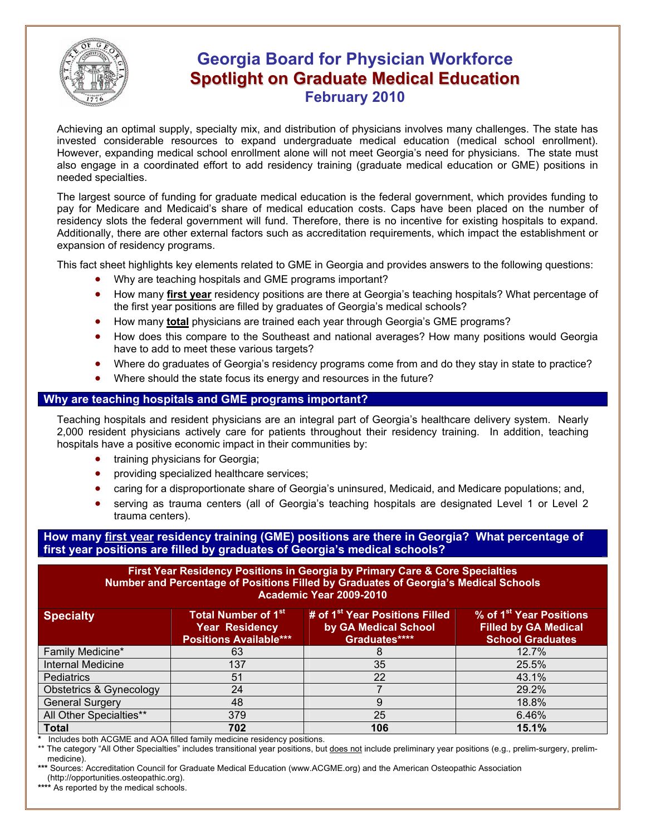

# **Georgia Board for Physician Workforce Spotlight on Graduate Medical Education February 2010**

Achieving an optimal supply, specialty mix, and distribution of physicians involves many challenges. The state has invested considerable resources to expand undergraduate medical education (medical school enrollment). However, expanding medical school enrollment alone will not meet Georgia's need for physicians. The state must also engage in a coordinated effort to add residency training (graduate medical education or GME) positions in needed specialties.

The largest source of funding for graduate medical education is the federal government, which provides funding to pay for Medicare and Medicaid's share of medical education costs. Caps have been placed on the number of residency slots the federal government will fund. Therefore, there is no incentive for existing hospitals to expand. Additionally, there are other external factors such as accreditation requirements, which impact the establishment or expansion of residency programs.

This fact sheet highlights key elements related to GME in Georgia and provides answers to the following questions:

- Why are teaching hospitals and GME programs important?
- How many **first year** residency positions are there at Georgia's teaching hospitals? What percentage of the first year positions are filled by graduates of Georgia's medical schools?
- How many **total** physicians are trained each year through Georgia's GME programs?
- How does this compare to the Southeast and national averages? How many positions would Georgia have to add to meet these various targets?
- Where do graduates of Georgia's residency programs come from and do they stay in state to practice?
- Where should the state focus its energy and resources in the future?

## **Why are teaching hospitals and GME programs important?**

Teaching hospitals and resident physicians are an integral part of Georgia's healthcare delivery system. Nearly 2,000 resident physicians actively care for patients throughout their residency training. In addition, teaching hospitals have a positive economic impact in their communities by:

- training physicians for Georgia;
- providing specialized healthcare services;
- caring for a disproportionate share of Georgia's uninsured, Medicaid, and Medicare populations; and,
- serving as trauma centers (all of Georgia's teaching hospitals are designated Level 1 or Level 2 trauma centers).

**How many first year residency training (GME) positions are there in Georgia? What percentage of first year positions are filled by graduates of Georgia's medical schools?** 

#### **First Year Residency Positions in Georgia by Primary Care & Core Specialties Number and Percentage of Positions Filled by Graduates of Georgia's Medical Schools Academic Year 2009-2010**

| <b>Specialty</b>                   | <b>Total Number of 1st</b><br><b>Year Residency</b><br><b>Positions Available***</b> | # of 1 <sup>st</sup> Year Positions Filled<br>by GA Medical School<br>Graduates**** | % of 1 <sup>st</sup> Year Positions<br><b>Filled by GA Medical</b><br><b>School Graduates</b> |
|------------------------------------|--------------------------------------------------------------------------------------|-------------------------------------------------------------------------------------|-----------------------------------------------------------------------------------------------|
| Family Medicine*                   | 63                                                                                   |                                                                                     | 12.7%                                                                                         |
| <b>Internal Medicine</b>           | 137                                                                                  | 35                                                                                  | 25.5%                                                                                         |
| <b>Pediatrics</b>                  | 51                                                                                   | 22                                                                                  | 43.1%                                                                                         |
| <b>Obstetrics &amp; Gynecology</b> | 24                                                                                   |                                                                                     | 29.2%                                                                                         |
| <b>General Surgery</b>             | 48                                                                                   | 9                                                                                   | 18.8%                                                                                         |
| All Other Specialties**            | 379                                                                                  | 25                                                                                  | 6.46%                                                                                         |
| <b>Total</b>                       | 702                                                                                  | 106                                                                                 | 15.1%                                                                                         |

**\*** Includes both ACGME and AOA filled family medicine residency positions.

\*\* The category "All Other Specialties" includes transitional year positions, but does not include preliminary year positions (e.g., prelim-surgery, prelimmedicine).

**\*\*\*** Sources: Accreditation Council for Graduate Medical Education (www.ACGME.org) and the American Osteopathic Association (http://opportunities.osteopathic.org).

**\*\*\*\*** As reported by the medical schools.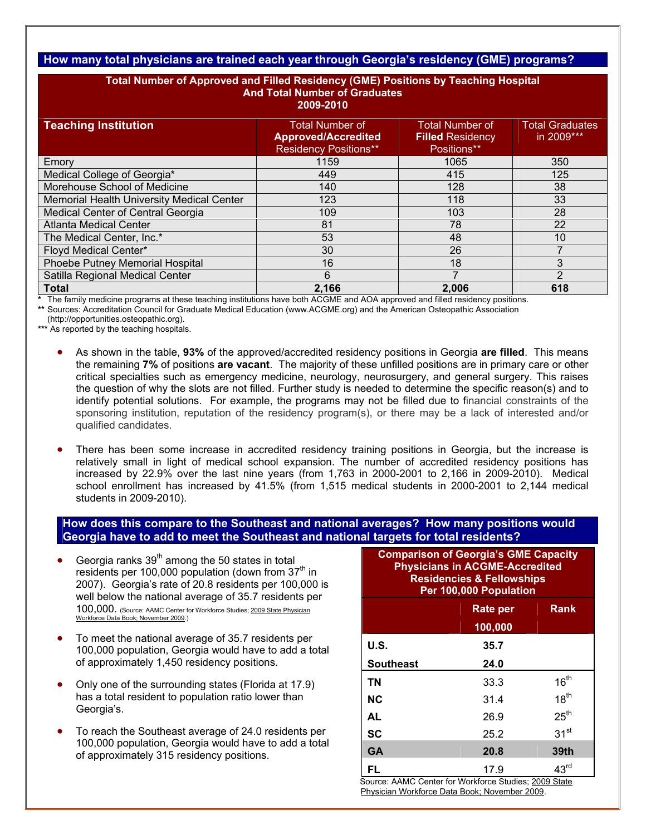# **How many total physicians are trained each year through Georgia's residency (GME) programs?**

| Total Number of Approved and Filled Residency (GME) Positions by Teaching Hospital<br><b>And Total Number of Graduates</b><br>2009-2010 |                                                                                      |                                                                  |                                      |  |  |
|-----------------------------------------------------------------------------------------------------------------------------------------|--------------------------------------------------------------------------------------|------------------------------------------------------------------|--------------------------------------|--|--|
| <b>Teaching Institution</b>                                                                                                             | <b>Total Number of</b><br><b>Approved/Accredited</b><br><b>Residency Positions**</b> | <b>Total Number of</b><br><b>Filled Residency</b><br>Positions** | <b>Total Graduates</b><br>in 2009*** |  |  |
| Emory                                                                                                                                   | 1159                                                                                 | 1065                                                             | 350                                  |  |  |
| Medical College of Georgia*                                                                                                             | 449                                                                                  | 415                                                              | 125                                  |  |  |
| Morehouse School of Medicine                                                                                                            | 140                                                                                  | 128                                                              | 38                                   |  |  |
| Memorial Health University Medical Center                                                                                               | 123                                                                                  | 118                                                              | 33                                   |  |  |
| Medical Center of Central Georgia                                                                                                       | 109                                                                                  | 103                                                              | 28                                   |  |  |
| <b>Atlanta Medical Center</b>                                                                                                           | 81                                                                                   | 78                                                               | 22                                   |  |  |
| The Medical Center, Inc.*                                                                                                               | 53                                                                                   | 48                                                               | 10                                   |  |  |
| Floyd Medical Center*                                                                                                                   | 30                                                                                   | 26                                                               |                                      |  |  |
| Phoebe Putney Memorial Hospital                                                                                                         | 16                                                                                   | 18                                                               | 3                                    |  |  |
| Satilla Regional Medical Center                                                                                                         | 6                                                                                    |                                                                  | 2                                    |  |  |
| <b>Total</b>                                                                                                                            | 2,166                                                                                | 2,006                                                            | 618                                  |  |  |

**\*** The family medicine programs at these teaching institutions have both ACGME and AOA approved and filled residency positions.

**\*\*** Sources: Accreditation Council for Graduate Medical Education (www.ACGME.org) and the American Osteopathic Association

(http://opportunities.osteopathic.org).

**\*\*\*** As reported by the teaching hospitals.

- As shown in the table, **93%** of the approved/accredited residency positions in Georgia **are filled**. This means the remaining **7%** of positions **are vacant**. The majority of these unfilled positions are in primary care or other critical specialties such as emergency medicine, neurology, neurosurgery, and general surgery. This raises the question of why the slots are not filled. Further study is needed to determine the specific reason(s) and to identify potential solutions. For example, the programs may not be filled due to financial constraints of the sponsoring institution, reputation of the residency program(s), or there may be a lack of interested and/or qualified candidates.
- There has been some increase in accredited residency training positions in Georgia, but the increase is relatively small in light of medical school expansion. The number of accredited residency positions has increased by 22.9% over the last nine years (from 1,763 in 2000-2001 to 2,166 in 2009-2010). Medical school enrollment has increased by 41.5% (from 1,515 medical students in 2000-2001 to 2,144 medical students in 2009-2010).

## **How does this compare to the Southeast and national averages? How many positions would Georgia have to add to meet the Southeast and national targets for total residents?**

- Georgia ranks  $39<sup>th</sup>$  among the 50 states in total residents per 100,000 population (down from  $37<sup>th</sup>$  in 2007). Georgia's rate of 20.8 residents per 100,000 is well below the national average of 35.7 residents per 100,000. (Source: AAMC Center for Workforce Studies; 2009 State Physician Workforce Data Book; November 2009.)
- To meet the national average of 35.7 residents per 100,000 population, Georgia would have to add a total of approximately 1,450 residency positions.
- Only one of the surrounding states (Florida at 17.9) has a total resident to population ratio lower than Georgia's.
- To reach the Southeast average of 24.0 residents per 100,000 population, Georgia would have to add a total of approximately 315 residency positions.

| <b>Comparison of Georgia's GME Capacity</b><br><b>Physicians in ACGME-Accredited</b><br><b>Residencies &amp; Fellowships</b><br>Per 100,000 Population |          |                  |  |  |
|--------------------------------------------------------------------------------------------------------------------------------------------------------|----------|------------------|--|--|
|                                                                                                                                                        | Rate per | <b>Rank</b>      |  |  |
|                                                                                                                                                        | 100,000  |                  |  |  |
| <b>U.S.</b>                                                                                                                                            | 35.7     |                  |  |  |
| <b>Southeast</b>                                                                                                                                       | 24.0     |                  |  |  |
| <b>TN</b>                                                                                                                                              | 33.3     | 16 <sup>th</sup> |  |  |
| <b>NC</b>                                                                                                                                              | 31.4     | 18 <sup>th</sup> |  |  |
| <b>AL</b>                                                                                                                                              | 26.9     | 25 <sup>th</sup> |  |  |
| <b>SC</b>                                                                                                                                              | 25.2     | 31 <sup>st</sup> |  |  |
| <b>GA</b>                                                                                                                                              | 20.8     | 39th             |  |  |
| FL<br>Source: AAMC Center for Workforce Studies: 2009 State                                                                                            | 17.9     | 43 <sup>rd</sup> |  |  |

Source: AAMC Center for Workforce Studies; <u>2009 State</u><br>Physician Workforce Data Book; November 2009.